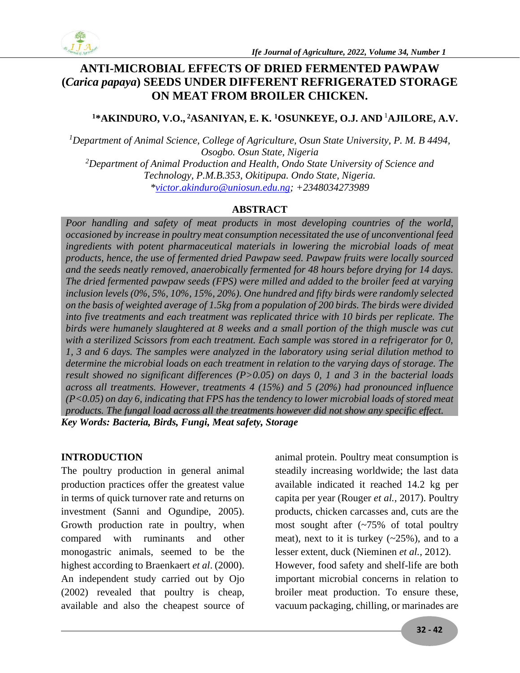

## **ANTI-MICROBIAL EFFECTS OF DRIED FERMENTED PAWPAW (***Carica papaya***) SEEDS UNDER DIFFERENT REFRIGERATED STORAGE ON MEAT FROM BROILER CHICKEN.**

#### **<sup>1</sup>\*AKINDURO, V.O., <sup>2</sup>ASANIYAN, E. K. <sup>1</sup>OSUNKEYE, O.J. AND** <sup>1</sup>**AJILORE, A.V.**

*<sup>1</sup>Department of Animal Science, College of Agriculture, Osun State University, P. M. B 4494, Osogbo. Osun State, Nigeria <sup>2</sup>Department of Animal Production and Health, Ondo State University of Science and Technology, P.M.B.353, Okitipupa. Ondo State, Nigeria. [\\*victor.akinduro@uniosun.edu.ng;](mailto:victor.akinduro@uniosun.edu.ng) +2348034273989*

#### **ABSTRACT**

Poor handling and safety of meat products in most developing countries of the world, *occasioned by increase in poultry meat consumption necessitated the use of unconventional feed*  ingredients with potent pharmaceutical materials in lowering the microbial loads of meat *products, hence, the use of fermented dried Pawpaw seed. Pawpaw fruits were locally sourced and the seeds neatly removed, anaerobically fermented for 48 hours before drying for 14 days. The dried fermented pawpaw seeds (FPS) were milled and added to the broiler feed at varying inclusion levels (0%, 5%, 10%, 15%, 20%). One hundred and fifty birds were randomly selected on the basis of weighted average of 1.5kg from a population of 200 birds. The birds were divided into five treatments and each treatment was replicated thrice with 10 birds per replicate. The birds were humanely slaughtered at 8 weeks and a small portion of the thigh muscle was cut with a sterilized Scissors from each treatment. Each sample was stored in a refrigerator for 0, 1, 3 and 6 days. The samples were analyzed in the laboratory using serial dilution method to determine the microbial loads on each treatment in relation to the varying days of storage. The result showed no significant differences (P>0.05) on days 0, 1 and 3 in the bacterial loads across all treatments. However, treatments 4 (15%) and 5 (20%) had pronounced influence (P<0.05) on day 6, indicating that FPS has the tendency to lower microbial loads of stored meat products. The fungal load across all the treatments however did not show any specific effect. Key Words: Bacteria, Birds, Fungi, Meat safety, Storage*

#### **INTRODUCTION**

The poultry production in general animal production practices offer the greatest value in terms of quick turnover rate and returns on investment (Sanni and Ogundipe, 2005). Growth production rate in poultry, when compared with ruminants and other monogastric animals, seemed to be the highest according to Braenkaert *et al*. (2000). An independent study carried out by Ojo (2002) revealed that poultry is cheap, available and also the cheapest source of

animal protein. Poultry meat consumption is steadily increasing worldwide; the last data available indicated it reached 14.2 kg per capita per year (Rouger *et al.,* 2017). Poultry products, chicken carcasses and, cuts are the most sought after (~75% of total poultry meat), next to it is turkey  $(-25\%)$ , and to a lesser extent, duck (Nieminen *et al.,* 2012). However, food safety and shelf-life are both important microbial concerns in relation to broiler meat production. To ensure these, vacuum packaging, chilling, or marinades are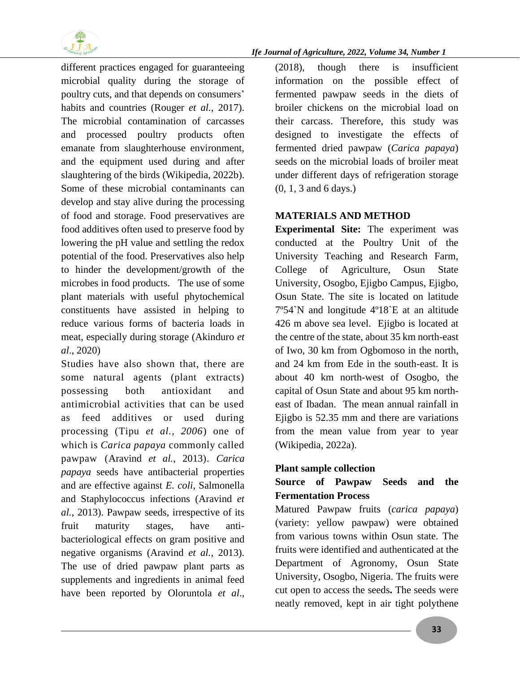

different practices engaged for guaranteeing microbial quality during the storage of poultry cuts, and that depends on consumers' habits and countries (Rouger *et al.,* 2017). The microbial contamination of carcasses and processed poultry products often emanate from slaughterhouse environment, and the equipment used during and after slaughtering of the birds (Wikipedia, 2022b). Some of these microbial contaminants can develop and stay alive during the processing of food and storage. Food preservatives are food additives often used to preserve food by lowering the pH value and settling the redox potential of the food. Preservatives also help to hinder the development/growth of the microbes in food products. The use of some plant materials with useful phytochemical constituents have assisted in helping to reduce various forms of bacteria loads in meat, especially during storage (Akinduro *et al*., 2020)

Studies have also shown that, there are some natural agents (plant extracts) possessing both antioxidant and antimicrobial activities that can be used as feed additives or used during processing (Tipu *et al., 2006*) one of which is *Carica papaya* commonly called pawpaw (Aravind *et al.*, 2013). *Carica papaya* seeds have antibacterial properties and are effective against *E. coli*, Salmonella and Staphylococcus infections (Aravind *et al.*, 2013). Pawpaw seeds, irrespective of its fruit maturity stages, have antibacteriological effects on gram positive and negative organisms (Aravind *et al.*, 2013). The use of dried pawpaw plant parts as supplements and ingredients in animal feed have been reported by Oloruntola *et al*.,

(2018), though there is insufficient information on the possible effect of fermented pawpaw seeds in the diets of broiler chickens on the microbial load on their carcass. Therefore, this study was designed to investigate the effects of fermented dried pawpaw (*Carica papaya*) seeds on the microbial loads of broiler meat under different days of refrigeration storage (0, 1, 3 and 6 days.)

## **MATERIALS AND METHOD**

**Experimental Site:** The experiment was conducted at the Poultry Unit of the University Teaching and Research Farm, College of Agriculture, Osun State University, Osogbo, Ejigbo Campus, Ejigbo, Osun State. The site is located on latitude 7º54`N and longitude 4º18`E at an altitude 426 m above sea level. Ejigbo is located at the centre of the state, about 35 km north-east of Iwo, 30 km from Ogbomoso in the north, and 24 km from Ede in the south-east. It is about 40 km north-west of Osogbo, the capital of Osun State and about 95 km northeast of Ibadan. The mean annual rainfall in Ejigbo is 52.35 mm and there are variations from the mean value from year to year (Wikipedia, 2022a).

#### **Plant sample collection**

## **Source of Pawpaw Seeds and the Fermentation Process**

Matured Pawpaw fruits (*carica papaya*) (variety: yellow pawpaw) were obtained from various towns within Osun state. The fruits were identified and authenticated at the Department of Agronomy, Osun State University, Osogbo, Nigeria. The fruits were cut open to access the seeds**.** The seeds were neatly removed, kept in air tight polythene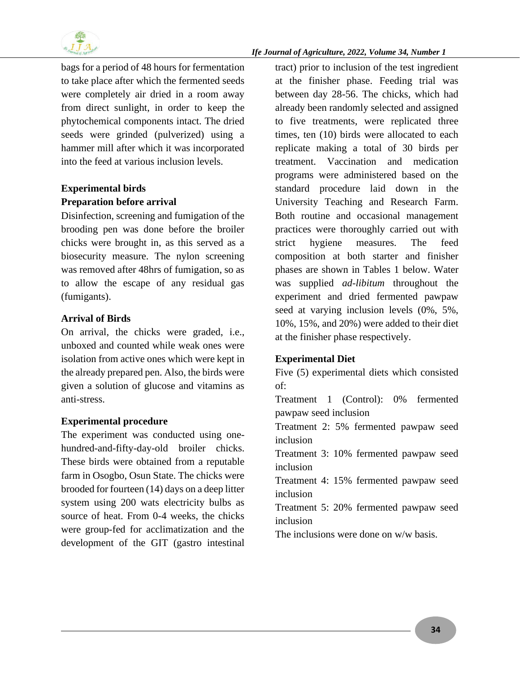

bags for a period of 48 hours for fermentation to take place after which the fermented seeds were completely air dried in a room away from direct sunlight, in order to keep the phytochemical components intact. The dried seeds were grinded (pulverized) using a hammer mill after which it was incorporated into the feed at various inclusion levels.

## **Experimental birds Preparation before arrival**

Disinfection, screening and fumigation of the brooding pen was done before the broiler chicks were brought in, as this served as a biosecurity measure. The nylon screening was removed after 48hrs of fumigation, so as to allow the escape of any residual gas (fumigants).

## **Arrival of Birds**

On arrival, the chicks were graded, i.e., unboxed and counted while weak ones were isolation from active ones which were kept in the already prepared pen. Also, the birds were given a solution of glucose and vitamins as anti-stress.

## **Experimental procedure**

The experiment was conducted using onehundred-and-fifty-day-old broiler chicks. These birds were obtained from a reputable farm in Osogbo, Osun State. The chicks were brooded for fourteen (14) days on a deep litter system using 200 wats electricity bulbs as source of heat. From 0-4 weeks, the chicks were group-fed for acclimatization and the development of the GIT (gastro intestinal tract) prior to inclusion of the test ingredient at the finisher phase. Feeding trial was between day 28-56. The chicks, which had already been randomly selected and assigned to five treatments, were replicated three times, ten (10) birds were allocated to each replicate making a total of 30 birds per treatment. Vaccination and medication programs were administered based on the standard procedure laid down in the University Teaching and Research Farm. Both routine and occasional management practices were thoroughly carried out with strict hygiene measures. The feed composition at both starter and finisher phases are shown in Tables 1 below. Water was supplied *ad-libitum* throughout the experiment and dried fermented pawpaw seed at varying inclusion levels (0%, 5%, 10%, 15%, and 20%) were added to their diet at the finisher phase respectively.

## **Experimental Diet**

Five (5) experimental diets which consisted of:

Treatment 1 (Control): 0% fermented pawpaw seed inclusion

Treatment 2: 5% fermented pawpaw seed inclusion

Treatment 3: 10% fermented pawpaw seed inclusion

Treatment 4: 15% fermented pawpaw seed inclusion

Treatment 5: 20% fermented pawpaw seed inclusion

The inclusions were done on w/w basis.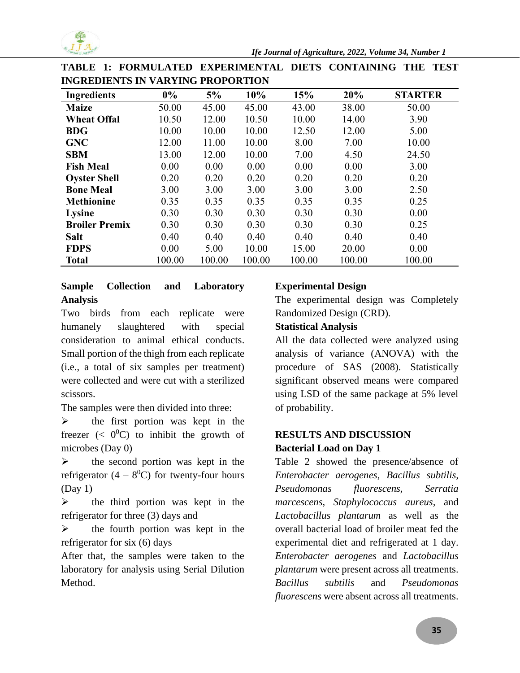

| <b>Ingredients</b>    | $0\%$  | 5%     | 10%    | 15%    | 20%    | <b>STARTER</b> |
|-----------------------|--------|--------|--------|--------|--------|----------------|
| <b>Maize</b>          | 50.00  | 45.00  | 45.00  | 43.00  | 38.00  | 50.00          |
| <b>Wheat Offal</b>    | 10.50  | 12.00  | 10.50  | 10.00  | 14.00  | 3.90           |
| <b>BDG</b>            | 10.00  | 10.00  | 10.00  | 12.50  | 12.00  | 5.00           |
| <b>GNC</b>            | 12.00  | 11.00  | 10.00  | 8.00   | 7.00   | 10.00          |
| <b>SBM</b>            | 13.00  | 12.00  | 10.00  | 7.00   | 4.50   | 24.50          |
| <b>Fish Meal</b>      | 0.00   | 0.00   | 0.00   | 0.00   | 0.00   | 3.00           |
| <b>Oyster Shell</b>   | 0.20   | 0.20   | 0.20   | 0.20   | 0.20   | 0.20           |
| <b>Bone Meal</b>      | 3.00   | 3.00   | 3.00   | 3.00   | 3.00   | 2.50           |
| <b>Methionine</b>     | 0.35   | 0.35   | 0.35   | 0.35   | 0.35   | 0.25           |
| <b>Lysine</b>         | 0.30   | 0.30   | 0.30   | 0.30   | 0.30   | 0.00           |
| <b>Broiler Premix</b> | 0.30   | 0.30   | 0.30   | 0.30   | 0.30   | 0.25           |
| <b>Salt</b>           | 0.40   | 0.40   | 0.40   | 0.40   | 0.40   | 0.40           |
| <b>FDPS</b>           | 0.00   | 5.00   | 10.00  | 15.00  | 20.00  | 0.00           |
| <b>Total</b>          | 100.00 | 100.00 | 100.00 | 100.00 | 100.00 | 100.00         |

**TABLE 1: FORMULATED EXPERIMENTAL DIETS CONTAINING THE TEST INGREDIENTS IN VARYING PROPORTION**

## **Sample Collection and Laboratory Analysis**

Two birds from each replicate were humanely slaughtered with special consideration to animal ethical conducts. Small portion of the thigh from each replicate (i.e., a total of six samples per treatment) were collected and were cut with a sterilized scissors.

The samples were then divided into three:

 $\triangleright$  the first portion was kept in the freezer ( $\lt 0^0$ C) to inhibit the growth of microbes (Day 0)

 $\triangleright$  the second portion was kept in the refrigerator  $(4 - 8^0C)$  for twenty-four hours (Day 1)

 $\triangleright$  the third portion was kept in the refrigerator for three (3) days and

 $\triangleright$  the fourth portion was kept in the refrigerator for six (6) days

After that, the samples were taken to the laboratory for analysis using Serial Dilution Method.

## **Experimental Design**

The experimental design was Completely Randomized Design (CRD).

## **Statistical Analysis**

All the data collected were analyzed using analysis of variance (ANOVA) with the procedure of SAS (2008). Statistically significant observed means were compared using LSD of the same package at 5% level of probability.

## **RESULTS AND DISCUSSION Bacterial Load on Day 1**

Table 2 showed the presence/absence of *Enterobacter aerogenes*, *Bacillus subtilis, Pseudomonas fluorescens, Serratia marcescens*, *Staphylococcus aureus,* and *Lactobacillus plantarum* as well as the overall bacterial load of broiler meat fed the experimental diet and refrigerated at 1 day. *Enterobacter aerogenes* and *Lactobacillus plantarum* were present across all treatments. *Bacillus subtilis* and *Pseudomonas fluorescens* were absent across all treatments.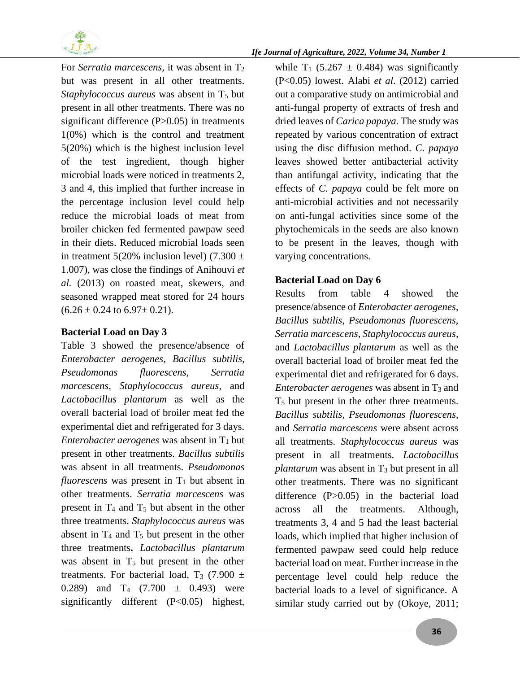

For *Serratia marcescens*, it was absent in T<sub>2</sub> but was present in all other treatments. *Staphylococcus aureus* was absent in T<sub>5</sub> but present in all other treatments. There was no significant difference (P>0.05) in treatments 1(0%) which is the control and treatment 5(20%) which is the highest inclusion level of the test ingredient, though higher microbial loads were noticed in treatments 2, 3 and 4, this implied that further increase in the percentage inclusion level could help reduce the microbial loads of meat from broiler chicken fed fermented pawpaw seed in their diets. Reduced microbial loads seen in treatment 5(20% inclusion level) (7.300  $\pm$ 1.007), was close the findings of Anihouvi *et al.* (2013) on roasted meat, skewers, and seasoned wrapped meat stored for 24 hours  $(6.26 \pm 0.24 \text{ to } 6.97 \pm 0.21).$ 

#### **Bacterial Load on Day 3**

Table 3 showed the presence/absence of *Enterobacter aerogenes*, *Bacillus subtilis, Pseudomonas fluorescens, Serratia marcescens*, *Staphylococcus aureus,* and *Lactobacillus plantarum* as well as the overall bacterial load of broiler meat fed the experimental diet and refrigerated for 3 days. *Enterobacter aerogenes* was absent in  $T_1$  but present in other treatments. *Bacillus subtilis* was absent in all treatments. *Pseudomonas fluorescens* was present in  $T_1$  but absent in other treatments. *Serratia marcescens* was present in  $T_4$  and  $T_5$  but absent in the other three treatments. *Staphylococcus aureus* was absent in  $T_4$  and  $T_5$  but present in the other three treatments**.** *Lactobacillus plantarum*  was absent in  $T_5$  but present in the other treatments. For bacterial load,  $T_3$  (7.900  $\pm$ 0.289) and  $T_4$  (7.700  $\pm$  0.493) were significantly different (P<0.05) highest,

while  $T_1$  (5.267  $\pm$  0.484) was significantly (P<0.05) lowest. Alabi *et al*. (2012) carried out a comparative study on antimicrobial and anti-fungal property of extracts of fresh and dried leaves of *Carica papaya*. The study was repeated by various concentration of extract using the disc diffusion method. *C. papaya* leaves showed better antibacterial activity than antifungal activity, indicating that the effects of *C. papaya* could be felt more on anti-microbial activities and not necessarily on anti-fungal activities since some of the phytochemicals in the seeds are also known to be present in the leaves, though with varying concentrations.

#### **Bacterial Load on Day 6**

Results from table 4 showed the presence/absence of *Enterobacter aerogenes*, *Bacillus subtilis, Pseudomonas fluorescens, Serratia marcescens*, *Staphylococcus aureus,* and *Lactobacillus plantarum* as well as the overall bacterial load of broiler meat fed the experimental diet and refrigerated for 6 days. *Enterobacter aerogenes* was absent in  $T_3$  and T<sup>5</sup> but present in the other three treatments. *Bacillus subtilis*, *Pseudomonas fluorescens,* and *Serratia marcescens* were absent across all treatments. *Staphylococcus aureus* was present in all treatments. *Lactobacillus plantarum* was absent in  $T_3$  but present in all other treatments. There was no significant difference (P>0.05) in the bacterial load across all the treatments. Although, treatments 3, 4 and 5 had the least bacterial loads, which implied that higher inclusion of fermented pawpaw seed could help reduce bacterial load on meat. Further increase in the percentage level could help reduce the bacterial loads to a level of significance. A similar study carried out by (Okoye, 2011;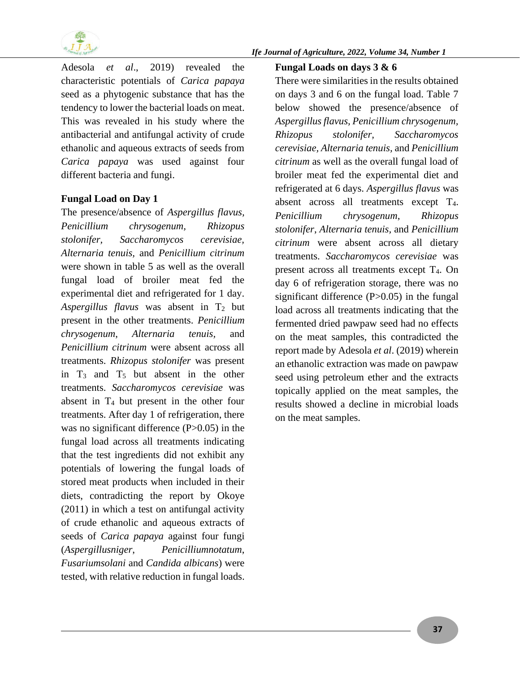

*Ife Journal of Agriculture, 2022, Volume 34, Number 1*

Adesola *et al*., 2019) revealed the characteristic potentials of *Carica papaya* seed as a phytogenic substance that has the tendency to lower the bacterial loads on meat. This was revealed in his study where the antibacterial and antifungal activity of crude ethanolic and aqueous extracts of seeds from *Carica papaya* was used against four different bacteria and fungi.

#### **Fungal Load on Day 1**

The presence/absence of *Aspergillus flavus, Penicillium chrysogenum, Rhizopus stolonifer, Saccharomycos cerevisiae, Alternaria tenuis,* and *Penicillium citrinum* were shown in table 5 as well as the overall fungal load of broiler meat fed the experimental diet and refrigerated for 1 day. Aspergillus flavus was absent in  $T_2$  but present in the other treatments. *Penicillium chrysogenum*, *Alternaria tenuis,* and *Penicillium citrinum* were absent across all treatments. *Rhizopus stolonifer* was present in  $T_3$  and  $T_5$  but absent in the other treatments. *Saccharomycos cerevisiae* was absent in T<sup>4</sup> but present in the other four treatments. After day 1 of refrigeration, there was no significant difference (P>0.05) in the fungal load across all treatments indicating that the test ingredients did not exhibit any potentials of lowering the fungal loads of stored meat products when included in their diets, contradicting the report by Okoye (2011) in which a test on antifungal activity of crude ethanolic and aqueous extracts of seeds of *Carica papaya* against four fungi (*Aspergillusniger*, *Penicilliumnotatum*, *Fusariumsolani* and *Candida albicans*) were tested, with relative reduction in fungal loads.

## **Fungal Loads on days 3 & 6**

There were similarities in the results obtained on days 3 and 6 on the fungal load. Table 7 below showed the presence/absence of *Aspergillus flavus, Penicillium chrysogenum, Rhizopus stolonifer, Saccharomycos cerevisiae, Alternaria tenuis,* and *Penicillium citrinum* as well as the overall fungal load of broiler meat fed the experimental diet and refrigerated at 6 days. *Aspergillus flavus* was absent across all treatments except T4. *Penicillium chrysogenum*, *Rhizopus stolonifer*, *Alternaria tenuis,* and *Penicillium citrinum* were absent across all dietary treatments. *Saccharomycos cerevisiae* was present across all treatments except T4. On day 6 of refrigeration storage, there was no significant difference  $(P>0.05)$  in the fungal load across all treatments indicating that the fermented dried pawpaw seed had no effects on the meat samples, this contradicted the report made by Adesola *et al*. (2019) wherein an ethanolic extraction was made on pawpaw seed using petroleum ether and the extracts topically applied on the meat samples, the results showed a decline in microbial loads on the meat samples.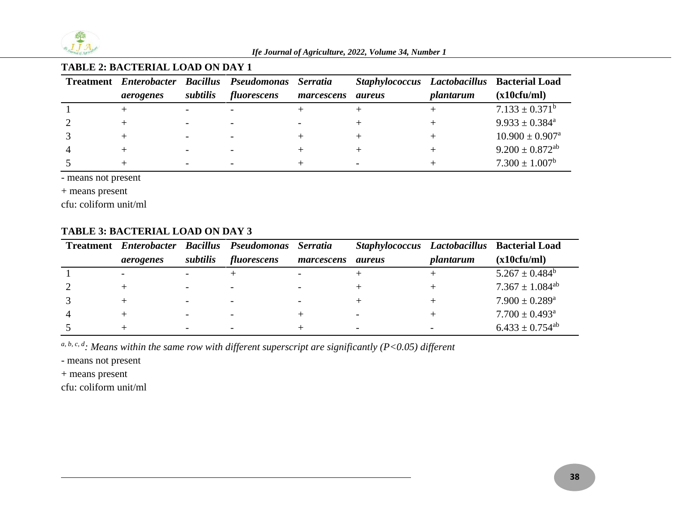

## **TABLE 2: BACTERIAL LOAD ON DAY 1**

|           |                              | Treatment Enterobacter Bacillus Pseudomonas Serratia |            |               |           | Staphylococcus Lactobacillus Bacterial Load |
|-----------|------------------------------|------------------------------------------------------|------------|---------------|-----------|---------------------------------------------|
| aerogenes | subtilis                     | fluorescens                                          | marcescens | <i>aureus</i> | plantarum | (x10cfu/ml)                                 |
|           |                              |                                                      |            |               |           | $7.133 \pm 0.371^b$                         |
|           | $\qquad \qquad \blacksquare$ |                                                      |            |               |           | $9.933 \pm 0.384^{\text{a}}$                |
|           |                              |                                                      |            |               |           | $10.900 \pm 0.907^{\text{a}}$               |
|           |                              |                                                      |            |               |           | $9.200 \pm 0.872$ <sup>ab</sup>             |
|           |                              |                                                      |            |               |           | $7.300 \pm 1.007^b$                         |

- means not present

+ means present

cfu: coliform unit/ml

#### **TABLE 3: BACTERIAL LOAD ON DAY 3**

| <b>Treatment</b> <i>Enterobacter</i> |                          | <b>Bacillus Pseudomonas</b> | <b>Serratia</b> |                          |           | Staphylococcus Lactobacillus Bacterial Load |
|--------------------------------------|--------------------------|-----------------------------|-----------------|--------------------------|-----------|---------------------------------------------|
| aerogenes                            | subtilis                 | fluorescens                 | marcescens      | <i>aureus</i>            | plantarum | (x10cfu/ml)                                 |
|                                      |                          |                             |                 |                          |           | $5.267 \pm 0.484^b$                         |
|                                      |                          |                             |                 |                          |           | $7.367 \pm 1.084^{\text{ab}}$               |
|                                      | $\overline{\phantom{0}}$ |                             |                 |                          |           | $7.900 \pm 0.289^{\text{a}}$                |
|                                      |                          |                             |                 |                          |           | $7.700 \pm 0.493$ <sup>a</sup>              |
|                                      | $\overline{\phantom{0}}$ |                             |                 | $\overline{\phantom{0}}$ |           | $6.433 \pm 0.754$ <sup>ab</sup>             |

*a, b, c, d: Means within the same row with different superscript are significantly (P<0.05) different* 

- means not present

+ means present

cfu: coliform unit/ml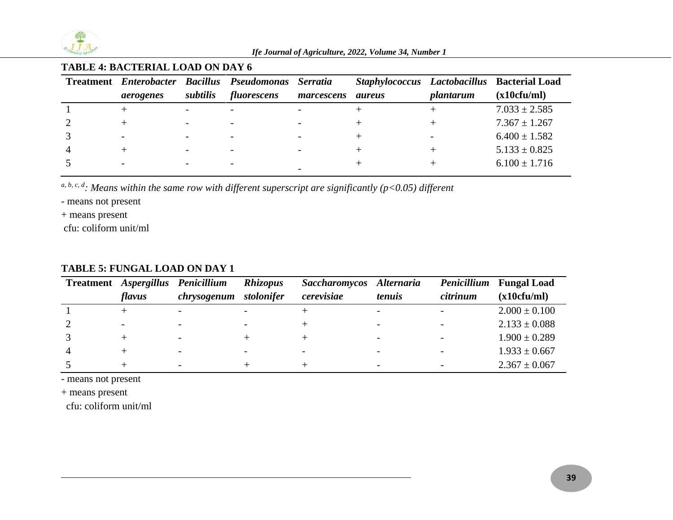

#### **TABLE 4: BACTERIAL LOAD ON DAY 6**

|           |          | Treatment Enterobacter Bacillus Pseudomonas Serratia |            |               |           | Staphylococcus Lactobacillus Bacterial Load |
|-----------|----------|------------------------------------------------------|------------|---------------|-----------|---------------------------------------------|
| aerogenes | subtilis | fluorescens                                          | marcescens | <i>aureus</i> | plantarum | (x10cfu/ml)                                 |
|           |          |                                                      |            |               |           | $7.033 \pm 2.585$                           |
|           |          |                                                      |            |               |           | $7.367 \pm 1.267$                           |
|           |          |                                                      |            |               |           | $6.400 \pm 1.582$                           |
|           |          |                                                      |            |               |           | $5.133 \pm 0.825$                           |
|           |          |                                                      |            |               |           | $6.100 \pm 1.716$                           |
|           |          |                                                      |            |               |           |                                             |

*a, b, c, d: Means within the same row with different superscript are significantly (p<0.05) different* 

- means not present

+ means present

cfu: coliform unit/ml

#### **Treatment** *Aspergillus Penicillium flavus chrysogenum stolonifer Rhizopus Saccharomycos Alternaria cerevisiae tenuis Penicillium*  **Fungal Load** *citrinum* **(x10cfu/ml)**   $1 +$  +  $-$  +  $+$   $+$  +  $+$   $+$   $2.000 \pm 0.100$ 2 - - - - + - - 2.133  $\pm$  0.088  $3 + + + + + + - + - + - + - 1.900 \pm 0.289$ 4 + - - - - - - - - - 1.933  $\pm$  0.667  $5 + + + + + - + - - - 2.367 \pm 0.067$

#### **TABLE 5: FUNGAL LOAD ON DAY 1**

- means not present

+ means present

cfu: coliform unit/ml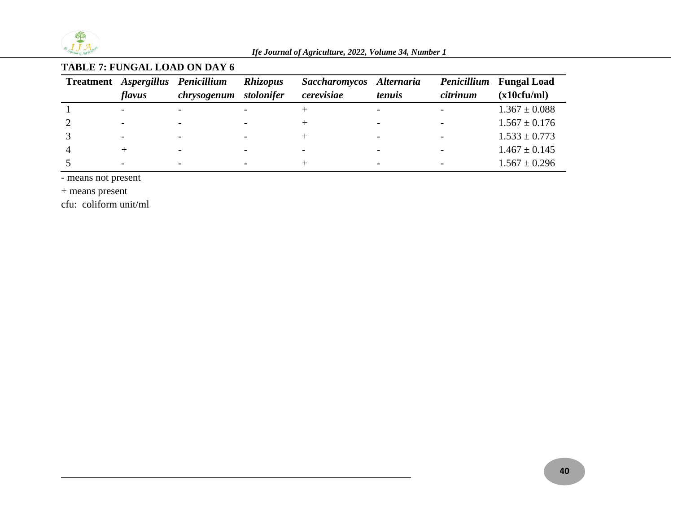

# **TABLE 7: FUNGAL LOAD ON DAY 6**

|                          | Treatment Aspergillus Penicillium | Rhizopus                 | Saccharomycos Alternaria |                          |          | <i>Penicillium</i> Fungal Load |
|--------------------------|-----------------------------------|--------------------------|--------------------------|--------------------------|----------|--------------------------------|
| flavus                   | chrysogenum stolonifer            |                          | cerevisiae               | tenuis                   | citrinum | (x10cfu/ml)                    |
|                          |                                   |                          |                          |                          |          | $1.367 \pm 0.088$              |
| $\overline{\phantom{0}}$ | $\overline{\phantom{a}}$          |                          |                          | $\overline{\phantom{a}}$ |          | $1.567 \pm 0.176$              |
| $\overline{\phantom{0}}$ | $\overline{\phantom{0}}$          |                          |                          |                          |          | $1.533 \pm 0.773$              |
|                          | $\overline{\phantom{0}}$          | $\overline{\phantom{a}}$ |                          |                          |          | $1.467 \pm 0.145$              |
|                          |                                   |                          |                          |                          |          | $1.567 \pm 0.296$              |

- means not present

+ means present

cfu: coliform unit/ml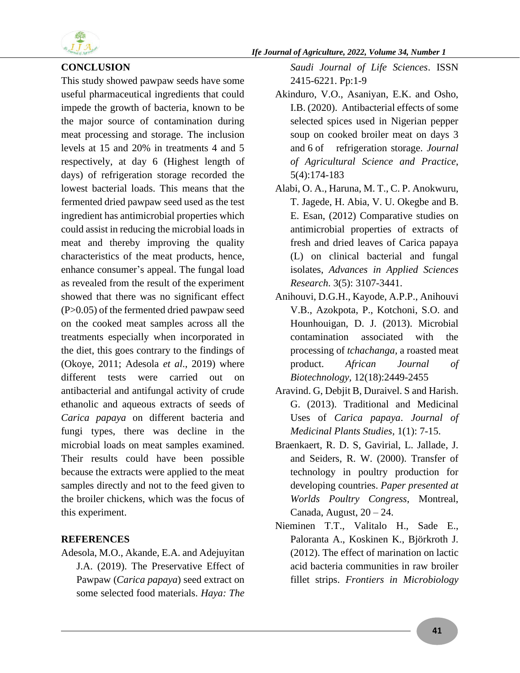

## **CONCLUSION**

This study showed pawpaw seeds have some useful pharmaceutical ingredients that could impede the growth of bacteria, known to be the major source of contamination during meat processing and storage. The inclusion levels at 15 and 20% in treatments 4 and 5 respectively, at day 6 (Highest length of days) of refrigeration storage recorded the lowest bacterial loads. This means that the fermented dried pawpaw seed used as the test ingredient has antimicrobial properties which could assist in reducing the microbial loads in meat and thereby improving the quality characteristics of the meat products, hence, enhance consumer's appeal. The fungal load as revealed from the result of the experiment showed that there was no significant effect (P>0.05) of the fermented dried pawpaw seed on the cooked meat samples across all the treatments especially when incorporated in the diet, this goes contrary to the findings of (Okoye, 2011; Adesola *et al*., 2019) where different tests were carried out on antibacterial and antifungal activity of crude ethanolic and aqueous extracts of seeds of *Carica papaya* on different bacteria and fungi types, there was decline in the microbial loads on meat samples examined. Their results could have been possible because the extracts were applied to the meat samples directly and not to the feed given to the broiler chickens, which was the focus of this experiment.

#### **REFERENCES**

Adesola, M.O., Akande, E.A. and Adejuyitan J.A. (2019). The Preservative Effect of Pawpaw (*Carica papaya*) seed extract on some selected food materials. *Haya: The* 

*Saudi Journal of Life Sciences*. ISSN 2415-6221. Pp:1-9

- Akinduro, V.O., Asaniyan, E.K. and Osho, I.B. (2020). Antibacterial effects of some selected spices used in Nigerian pepper soup on cooked broiler meat on days 3 and 6 of refrigeration storage. *Journal of Agricultural Science and Practice*, 5(4):174-183
- Alabi, O. A., Haruna, M. T., C. P. Anokwuru, T. Jagede, H. Abia, V. U. Okegbe and B. E. Esan, (2012) Comparative studies on antimicrobial properties of extracts of fresh and dried leaves of Carica papaya (L) on clinical bacterial and fungal isolates, *Advances in Applied Sciences Research*. 3(5): 3107-3441.
- Anihouvi, D.G.H., Kayode, A.P.P., Anihouvi V.B., Azokpota, P., Kotchoni, S.O. and Hounhouigan, D. J. (2013). Microbial contamination associated with the processing of *tchachanga,* a roasted meat product. *African Journal of Biotechnology,* 12(18):2449-2455
- Aravind. G, Debjit B, Duraivel. S and Harish. G. (2013). Traditional and Medicinal Uses of *Carica papaya*. *Journal of Medicinal Plants Studies,* 1(1): 7-15.
- Braenkaert, R. D. S, Gavirial, L. Jallade, J. and Seiders, R. W. (2000). Transfer of technology in poultry production for developing countries. *Paper presented at Worlds Poultry Congress*, Montreal, Canada, August, 20 – 24.
- Nieminen T.T., Valitalo H., Sade E., Paloranta A., Koskinen K., Björkroth J. (2012). The effect of marination on lactic acid bacteria communities in raw broiler fillet strips. *Frontiers in Microbiology*